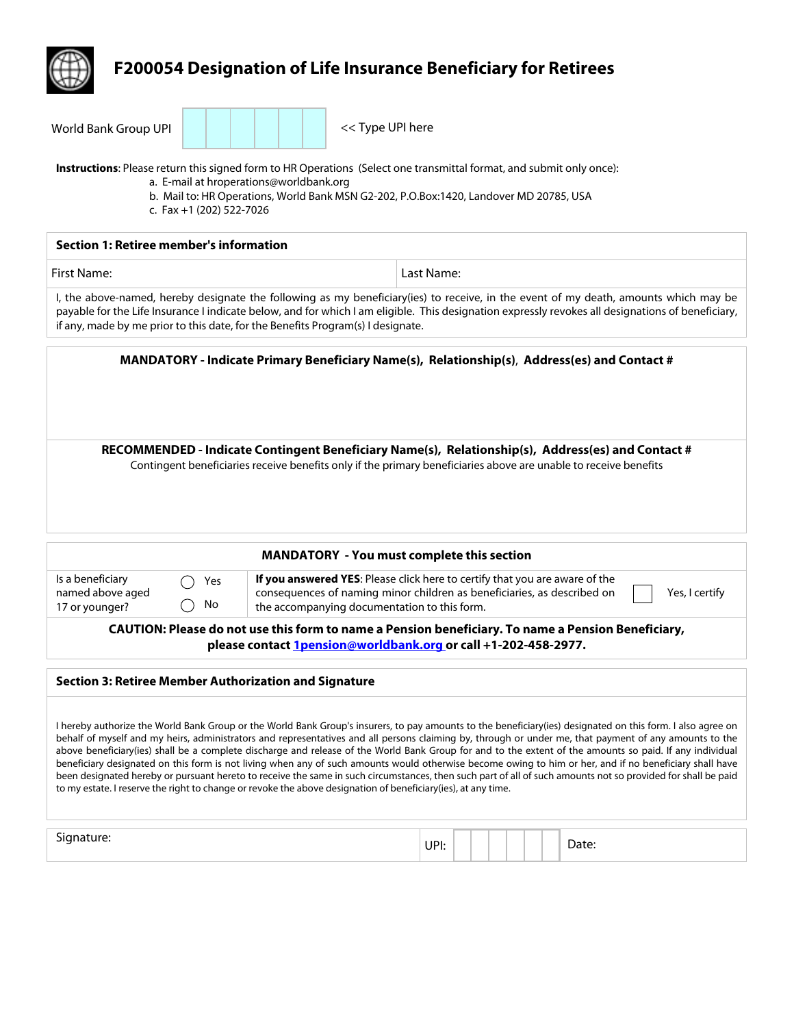

**Instructions**: Please return this signed form to HR Operations (Select one transmittal format, and submit only once):

- a. E-mail at hroperations@worldbank.org
- b. Mail to: HR Operations, World Bank MSN G2-202, P.O.Box:1420, Landover MD 20785, USA
- c. Fax +1 (202) 522-7026

| Section 1: Retiree member's information                                         |                                                                                                                                                                                                                                                                                           |  |  |  |  |
|---------------------------------------------------------------------------------|-------------------------------------------------------------------------------------------------------------------------------------------------------------------------------------------------------------------------------------------------------------------------------------------|--|--|--|--|
| First Name:                                                                     | Last Name:                                                                                                                                                                                                                                                                                |  |  |  |  |
| if any, made by me prior to this date, for the Benefits Program(s) I designate. | I, the above-named, hereby designate the following as my beneficiary(ies) to receive, in the event of my death, amounts which may be<br>payable for the Life Insurance I indicate below, and for which I am eligible. This designation expressly revokes all designations of beneficiary, |  |  |  |  |
|                                                                                 | MANDATORY - Indicate Primary Beneficiary Name(s), Relationship(s), Address(es) and Contact #                                                                                                                                                                                              |  |  |  |  |
|                                                                                 | RECOMMENDED - Indicate Contingent Beneficiary Name(s), Relationship(s), Address(es) and Contact #<br>Contingent beneficiaries receive benefits only if the primary beneficiaries above are unable to receive benefits                                                                     |  |  |  |  |
| <b>MANDATORY</b> - You must complete this section                               |                                                                                                                                                                                                                                                                                           |  |  |  |  |

| Is a beneficiary<br>named above aged<br>17 or younger? | Yes<br>No | If you answered YES: Please click here to certify that you are aware of the<br>consequences of naming minor children as beneficiaries, as described on<br>the accompanying documentation to this form. | Yes, I certify |
|--------------------------------------------------------|-----------|--------------------------------------------------------------------------------------------------------------------------------------------------------------------------------------------------------|----------------|
|                                                        |           |                                                                                                                                                                                                        |                |

**CAUTION: Please do not use this form to name a Pension beneficiary. To name a Pension Beneficiary, please contact 1pension@worldbank.org or call +1-202-458-2977.** 

#### **Section 3: Retiree Member Authorization and Signature**

I hereby authorize the World Bank Group or the World Bank Group's insurers, to pay amounts to the beneficiary(ies) designated on this form. I also agree on behalf of myself and my heirs, administrators and representatives and all persons claiming by, through or under me, that payment of any amounts to the above beneficiary(ies) shall be a complete discharge and release of the World Bank Group for and to the extent of the amounts so paid. If any individual beneficiary designated on this form is not living when any of such amounts would otherwise become owing to him or her, and if no beneficiary shall have been designated hereby or pursuant hereto to receive the same in such circumstances, then such part of all of such amounts not so provided for shall be paid to my estate. I reserve the right to change or revoke the above designation of beneficiary(ies), at any time.

| יי<br>-- | UPI: |  |  |  | . |
|----------|------|--|--|--|---|
|          |      |  |  |  |   |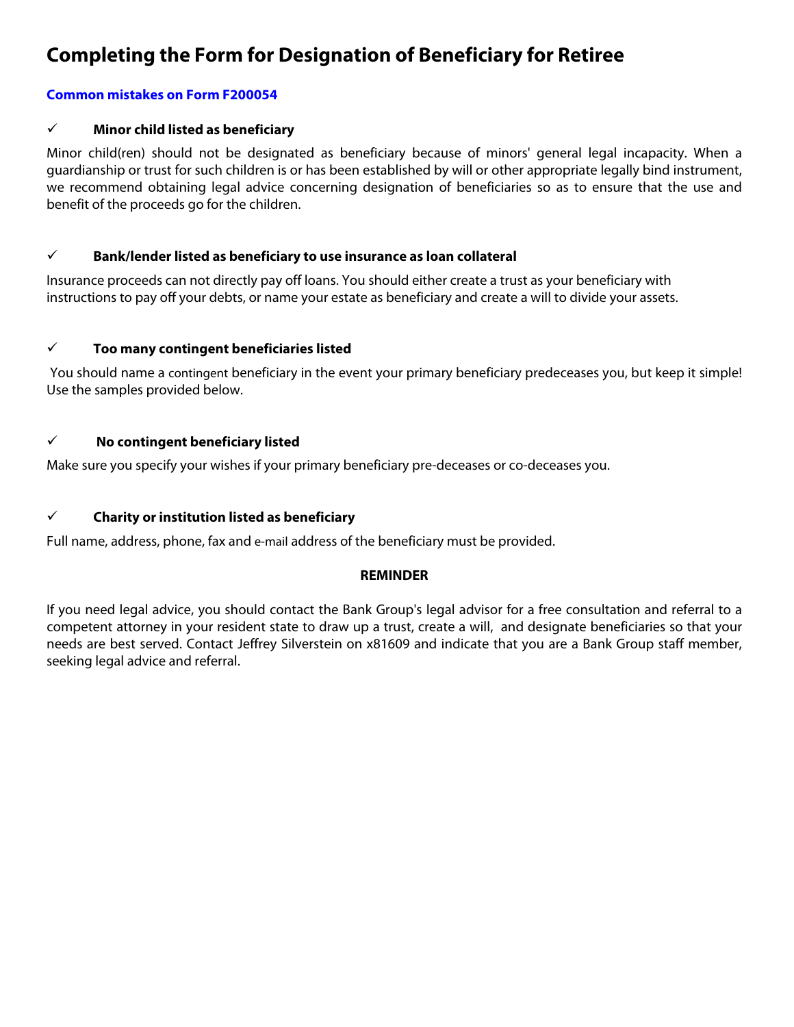# **Completing the Form for Designation of Beneficiary for Retiree**

# **Common mistakes on Form F200054**

### ¸ **Minor child listed as beneficiary**

Minor child(ren) should not be designated as beneficiary because of minors' general legal incapacity. When a guardianship or trust for such children is or has been established by will or other appropriate legally bind instrument, we recommend obtaining legal advice concerning designation of beneficiaries so as to ensure that the use and benefit of the proceeds go for the children.

### ¸ **Bank/lender listed as beneficiary to use insurance as loan collateral**

Insurance proceeds can not directly pay off loans. You should either create a trust as your beneficiary with instructions to pay off your debts, or name your estate as beneficiary and create a will to divide your assets.

### ¸ **Too many contingent beneficiaries listed**

You should name a contingent beneficiary in the event your primary beneficiary predeceases you, but keep it simple! Use the samples provided below.

### ¸ **No contingent beneficiary listed**

Make sure you specify your wishes if your primary beneficiary pre-deceases or co-deceases you.

# ¸ **Charity or institution listed as beneficiary**

Full name, address, phone, fax and e-mail address of the beneficiary must be provided.

# **REMINDER**

If you need legal advice, you should contact the Bank Group's legal advisor for a free consultation and referral to a competent attorney in your resident state to draw up a trust, create a will, and designate beneficiaries so that your needs are best served. Contact Jeffrey Silverstein on x81609 and indicate that you are a Bank Group staff member, seeking legal advice and referral.